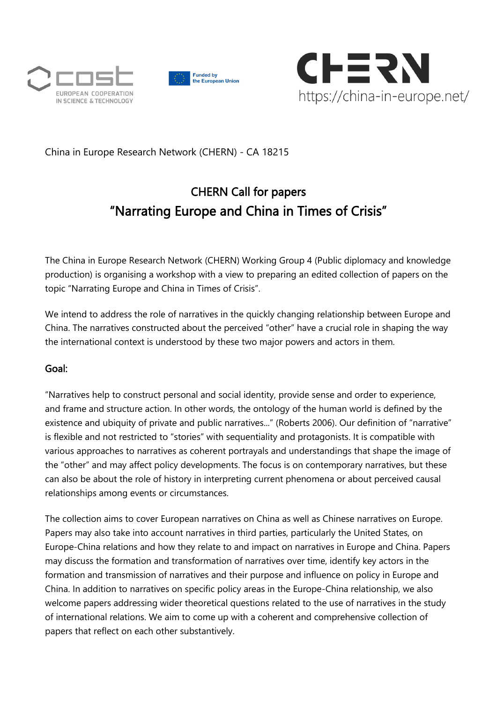





# [China in Europe Research Network \(CHERN\) -](https://china-in-europe.net/) CA 18215

# CHERN Call for papers "Narrating Europe and China in Times of Crisis"

The China in Europe Research Network (CHERN) Working Group 4 (Public diplomacy and knowledge production) is organising a workshop with a view to preparing an edited collection of papers on the topic "Narrating Europe and China in Times of Crisis".

We intend to address the role of narratives in the quickly changing relationship between Europe and China. The narratives constructed about the perceived "other" have a crucial role in shaping the way the international context is understood by these two major powers and actors in them.

# Goal:

"Narratives help to construct personal and social identity, provide sense and order to experience, and frame and structure action. In other words, the ontology of the human world is defined by the existence and ubiquity of private and public narratives..." (Roberts 2006). Our definition of "narrative" is flexible and not restricted to "stories" with sequentiality and protagonists. It is compatible with various approaches to narratives as coherent portrayals and understandings that shape the image of the "other" and may affect policy developments. The focus is on contemporary narratives, but these can also be about the role of history in interpreting current phenomena or about perceived causal relationships among events or circumstances.

The collection aims to cover European narratives on China as well as Chinese narratives on Europe. Papers may also take into account narratives in third parties, particularly the United States, on Europe-China relations and how they relate to and impact on narratives in Europe and China. Papers may discuss the formation and transformation of narratives over time, identify key actors in the formation and transmission of narratives and their purpose and influence on policy in Europe and China. In addition to narratives on specific policy areas in the Europe-China relationship, we also welcome papers addressing wider theoretical questions related to the use of narratives in the study of international relations. We aim to come up with a coherent and comprehensive collection of papers that reflect on each other substantively.